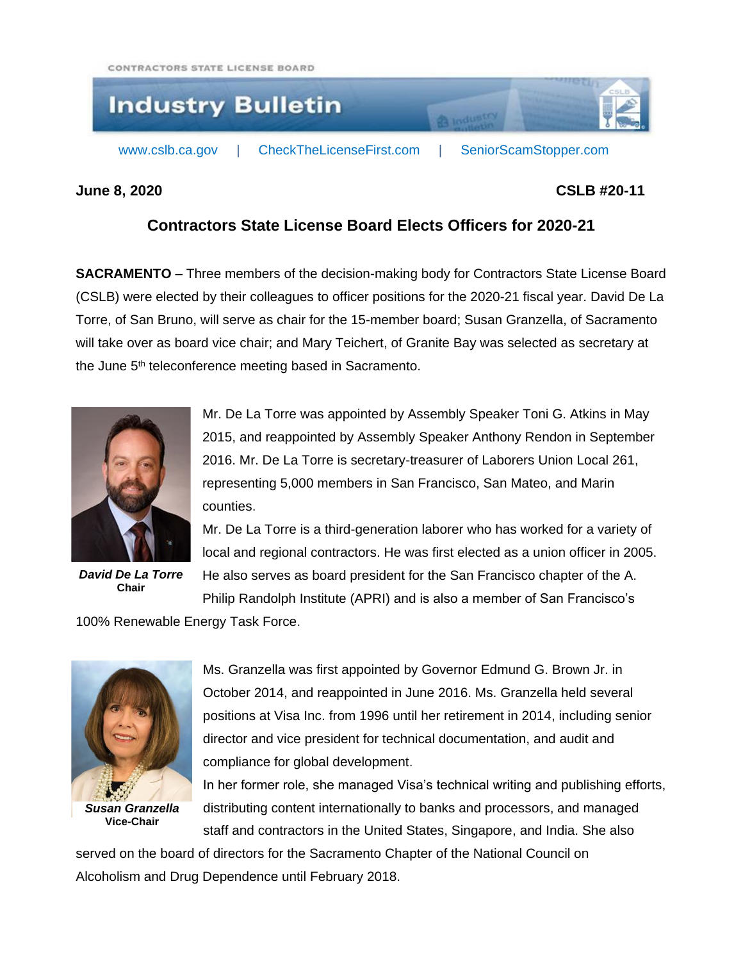CONTRACTORS STATE LICENSE BOARD



## **June 8, 2020 CSLB #20-11**

## **Contractors State License Board Elects Officers for 2020-21**

**SACRAMENTO** – Three members of the decision-making body for Contractors State License Board (CSLB) were elected by their colleagues to officer positions for the 2020-21 fiscal year. David De La Torre, of San Bruno, will serve as chair for the 15-member board; Susan Granzella, of Sacramento will take over as board vice chair; and Mary Teichert, of Granite Bay was selected as secretary at the June 5<sup>th</sup> teleconference meeting based in Sacramento.



*David De La Torre* **Chair**

Mr. De La Torre was appointed by Assembly Speaker Toni G. Atkins in May 2015, and reappointed by Assembly Speaker Anthony Rendon in September 2016. Mr. De La Torre is secretary-treasurer of Laborers Union Local 261, representing 5,000 members in San Francisco, San Mateo, and Marin counties.

Mr. De La Torre is a third-generation laborer who has worked for a variety of local and regional contractors. He was first elected as a union officer in 2005. He also serves as board president for the San Francisco chapter of the A.

Philip Randolph Institute (APRI) and is also a member of San Francisco's

100% Renewable Energy Task Force.



Ms. Granzella was first appointed by Governor Edmund G. Brown Jr. in October 2014, and reappointed in June 2016. Ms. Granzella held several positions at Visa Inc. from 1996 until her retirement in 2014, including senior director and vice president for technical documentation, and audit and compliance for global development.

In her former role, she managed Visa's technical writing and publishing efforts, distributing content internationally to banks and processors, and managed staff and contractors in the United States, Singapore, and India. She also

served on the board of directors for the Sacramento Chapter of the National Council on Alcoholism and Drug Dependence until February 2018.